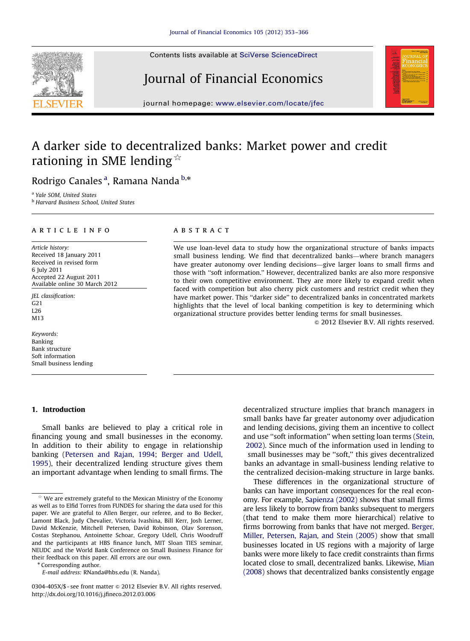Contents lists available at [SciVerse ScienceDirect](www.elsevier.com/locate/jfec)

# Journal of Financial Economics



journal homepage: <www.elsevier.com/locate/jfec>

## A darker side to decentralized banks: Market power and credit rationing in SME lending  $\hat{\mathbb{R}}$

Rodrigo Canales <sup>a</sup>, Ramana Nanda <sup>b,</sup>\*

<sup>a</sup> Yale SOM, United States

<sup>b</sup> Harvard Business School, United States

#### article info

Article history: Received 18 January 2011 Received in revised form 6 July 2011 Accepted 22 August 2011 Available online 30 March 2012

JEL classification:  $G<sub>21</sub>$ L26 M13

Keywords: Banking Bank structure Soft information Small business lending

#### 1. Introduction

Small banks are believed to play a critical role in financing young and small businesses in the economy. In addition to their ability to engage in relationship banking ([Petersen and Rajan, 1994](#page--1-0); [Berger and Udell,](#page--1-0) [1995](#page--1-0)), their decentralized lending structure gives them an important advantage when lending to small firms. The

\* Corresponding author.

### **ABSTRACT**

We use loan-level data to study how the organizational structure of banks impacts small business lending. We find that decentralized banks—where branch managers have greater autonomy over lending decisions—give larger loans to small firms and those with ''soft information.'' However, decentralized banks are also more responsive to their own competitive environment. They are more likely to expand credit when faced with competition but also cherry pick customers and restrict credit when they have market power. This ''darker side'' to decentralized banks in concentrated markets highlights that the level of local banking competition is key to determining which organizational structure provides better lending terms for small businesses.

 $\odot$  2012 Elsevier B.V. All rights reserved.

decentralized structure implies that branch managers in small banks have far greater autonomy over adjudication and lending decisions, giving them an incentive to collect and use ''soft information'' when setting loan terms ([Stein,](#page--1-0) [2002\)](#page--1-0). Since much of the information used in lending to small businesses may be ''soft,'' this gives decentralized banks an advantage in small-business lending relative to the centralized decision-making structure in large banks.

These differences in the organizational structure of banks can have important consequences for the real economy. For example, [Sapienza \(2002\)](#page--1-0) shows that small firms are less likely to borrow from banks subsequent to mergers (that tend to make them more hierarchical) relative to firms borrowing from banks that have not merged. [Berger,](#page--1-0) [Miller, Petersen, Rajan, and Stein \(2005\)](#page--1-0) show that small businesses located in US regions with a majority of large banks were more likely to face credit constraints than firms located close to small, decentralized banks. Likewise, [Mian](#page--1-0) [\(2008\)](#page--1-0) shows that decentralized banks consistently engage



We are extremely grateful to the Mexican Ministry of the Economy as well as to Elfid Torres from FUNDES for sharing the data used for this paper. We are grateful to Allen Berger, our referee, and to Bo Becker, Lamont Black, Judy Chevalier, Victoria Ivashina, Bill Kerr, Josh Lerner, David McKenzie, Mitchell Petersen, David Robinson, Olav Sorenson, Costas Stephanou, Antoinette Schoar, Gregory Udell, Chris Woodruff and the participants at HBS finance lunch, MIT Sloan TIES seminar, NEUDC and the World Bank Conference on Small Business Finance for their feedback on this paper. All errors are our own.

E-mail address: [RNanda@hbs.edu \(R. Nanda\)](mailto:RNanda@hbs.edu).

<sup>0304-405</sup>X/\$ - see front matter  $\odot$  2012 Elsevier B.V. All rights reserved. http://dx.doi.org/[10.1016/j.jfineco.2012.03.006](dx.doi.org/10.1016/j.jfineco.2012.03.006)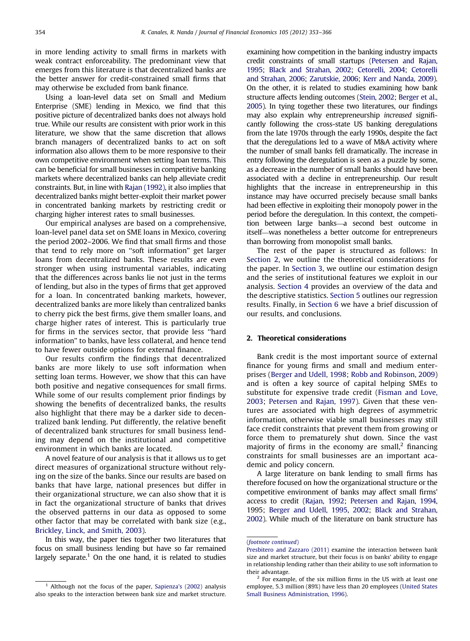in more lending activity to small firms in markets with weak contract enforceability. The predominant view that emerges from this literature is that decentralized banks are the better answer for credit-constrained small firms that may otherwise be excluded from bank finance.

Using a loan-level data set on Small and Medium Enterprise (SME) lending in Mexico, we find that this positive picture of decentralized banks does not always hold true. While our results are consistent with prior work in this literature, we show that the same discretion that allows branch managers of decentralized banks to act on soft information also allows them to be more responsive to their own competitive environment when setting loan terms. This can be beneficial for small businesses in competitive banking markets where decentralized banks can help alleviate credit constraints. But, in line with [Rajan \(1992\),](#page--1-0) it also implies that decentralized banks might better-exploit their market power in concentrated banking markets by restricting credit or charging higher interest rates to small businesses.

Our empirical analyses are based on a comprehensive, loan-level panel data set on SME loans in Mexico, covering the period 2002–2006. We find that small firms and those that tend to rely more on ''soft information'' get larger loans from decentralized banks. These results are even stronger when using instrumental variables, indicating that the differences across banks lie not just in the terms of lending, but also in the types of firms that get approved for a loan. In concentrated banking markets, however, decentralized banks are more likely than centralized banks to cherry pick the best firms, give them smaller loans, and charge higher rates of interest. This is particularly true for firms in the services sector, that provide less ''hard information'' to banks, have less collateral, and hence tend to have fewer outside options for external finance.

Our results confirm the findings that decentralized banks are more likely to use soft information when setting loan terms. However, we show that this can have both positive and negative consequences for small firms. While some of our results complement prior findings by showing the benefits of decentralized banks, the results also highlight that there may be a darker side to decentralized bank lending. Put differently, the relative benefit of decentralized bank structures for small business lending may depend on the institutional and competitive environment in which banks are located.

A novel feature of our analysis is that it allows us to get direct measures of organizational structure without relying on the size of the banks. Since our results are based on banks that have large, national presences but differ in their organizational structure, we can also show that it is in fact the organizational structure of banks that drives the observed patterns in our data as opposed to some other factor that may be correlated with bank size (e.g., [Brickley, Linck, and Smith, 2003\)](#page--1-0).

In this way, the paper ties together two literatures that focus on small business lending but have so far remained largely separate.<sup>1</sup> On the one hand, it is related to studies

examining how competition in the banking industry impacts credit constraints of small startups ([Petersen and Rajan,](#page--1-0) [1995](#page--1-0); [Black and Strahan, 2002;](#page--1-0) [Cetorelli, 2004](#page--1-0); [Cetorelli](#page--1-0) [and Strahan, 2006](#page--1-0); [Zarutskie, 2006](#page--1-0); [Kerr and Nanda, 2009](#page--1-0)). On the other, it is related to studies examining how bank structure affects lending outcomes ([Stein, 2002;](#page--1-0) [Berger et al.,](#page--1-0) [2005](#page--1-0)). In tying together these two literatures, our findings may also explain why entrepreneurship increased significantly following the cross-state US banking deregulations from the late 1970s through the early 1990s, despite the fact that the deregulations led to a wave of M&A activity where the number of small banks fell dramatically. The increase in entry following the deregulation is seen as a puzzle by some, as a decrease in the number of small banks should have been associated with a decline in entrepreneurship. Our result highlights that the increase in entrepreneurship in this instance may have occurred precisely because small banks had been effective in exploiting their monopoly power in the period before the deregulation. In this context, the competition between large banks—a second best outcome in itself—was nonetheless a better outcome for entrepreneurs than borrowing from monopolist small banks.

The rest of the paper is structured as follows: In Section 2, we outline the theoretical considerations for the paper. In [Section 3,](#page--1-0) we outline our estimation design and the series of institutional features we exploit in our analysis. [Section 4](#page--1-0) provides an overview of the data and the descriptive statistics. [Section 5](#page--1-0) outlines our regression results. Finally, in [Section 6](#page--1-0) we have a brief discussion of our results, and conclusions.

### 2. Theoretical considerations

Bank credit is the most important source of external finance for young firms and small and medium enterprises ([Berger and Udell, 1998](#page--1-0); [Robb and Robinson, 2009](#page--1-0)) and is often a key source of capital helping SMEs to substitute for expensive trade credit [\(Fisman and Love,](#page--1-0) [2003](#page--1-0); [Petersen and Rajan, 1997](#page--1-0)). Given that these ventures are associated with high degrees of asymmetric information, otherwise viable small businesses may still face credit constraints that prevent them from growing or force them to prematurely shut down. Since the vast majority of firms in the economy are small, $<sup>2</sup>$  financing</sup> constraints for small businesses are an important academic and policy concern.

A large literature on bank lending to small firms has therefore focused on how the organizational structure or the competitive environment of banks may affect small firms' access to credit ([Rajan, 1992;](#page--1-0) [Petersen and Rajan, 1994](#page--1-0), 1995; [Berger and Udell, 1995,](#page--1-0) [2002](#page--1-0); [Black and Strahan,](#page--1-0) [2002](#page--1-0)). While much of the literature on bank structure has

 $1$  Although not the focus of the paper, [Sapienza's \(2002\)](#page--1-0) analysis also speaks to the interaction between bank size and market structure.

<sup>(</sup>[footnote continued](#page--1-0))

[Presbitero and Zazzaro \(2011\)](#page--1-0) examine the interaction between bank size and market structure, but their focus is on banks' ability to engage in relationship lending rather than their ability to use soft information to their advantage.

For example, of the six million firms in the US with at least one employee, 5.3 million (89%) have less than 20 employees [\(United States](#page--1-0) [Small Business Administration, 1996](#page--1-0)).